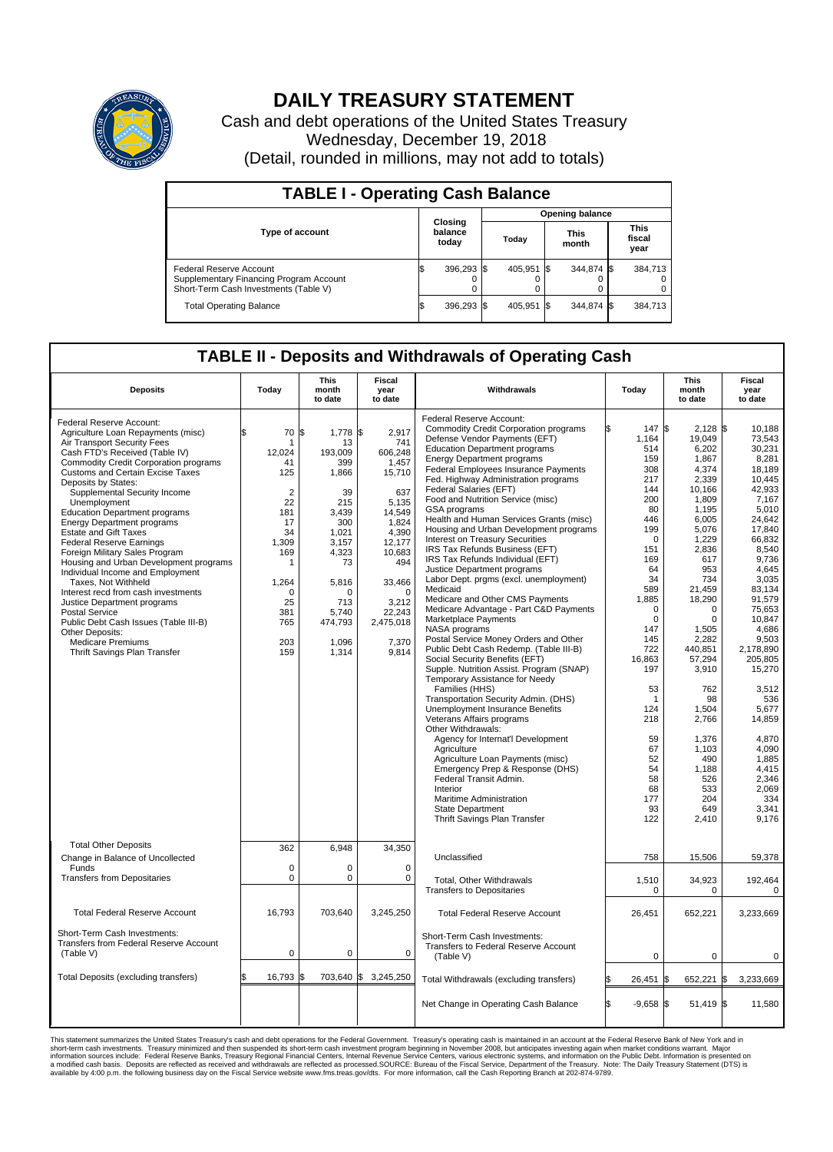

## **DAILY TREASURY STATEMENT**

Cash and debt operations of the United States Treasury Wednesday, December 19, 2018 (Detail, rounded in millions, may not add to totals)

| <b>TABLE I - Operating Cash Balance</b>                                                                     |    |                             |  |                        |  |                      |  |                               |  |  |  |
|-------------------------------------------------------------------------------------------------------------|----|-----------------------------|--|------------------------|--|----------------------|--|-------------------------------|--|--|--|
|                                                                                                             |    |                             |  | <b>Opening balance</b> |  |                      |  |                               |  |  |  |
| <b>Type of account</b>                                                                                      |    | Closing<br>balance<br>today |  | Today                  |  | <b>This</b><br>month |  | <b>This</b><br>fiscal<br>year |  |  |  |
| Federal Reserve Account<br>Supplementary Financing Program Account<br>Short-Term Cash Investments (Table V) |    | 396,293 \$                  |  | 405.951 \$             |  | 344.874 \$           |  | 384,713                       |  |  |  |
| <b>Total Operating Balance</b>                                                                              | ıа | 396,293 \$                  |  | 405,951 \$             |  | 344,874 \$           |  | 384,713                       |  |  |  |

## **TABLE II - Deposits and Withdrawals of Operating Cash**

| <b>Deposits</b>                                                                                                                                                                                                                                                                                                                                                                                                                                                                                                                                                                                                                                                                                                                                                                                                 | Today                                                                                                                                                       | <b>This</b><br>month<br>to date                                                                                                                                                    | <b>Fiscal</b><br>year<br>to date                                                                                                                                                          | Withdrawals                                                                                                                                                                                                                                                                                                                                                                                                                                                                                                                                                                                                                                                                                                                                                                                                                                                                                                                                                                                                                                                                                                                                                                                                                                                                                                                                                              | Today                                                                                                                                                                                                                                                                                     | <b>This</b><br>month<br>to date                                                                                                                                                                                                                                                                                                          | Fiscal<br>year<br>to date                                                                                                                                                                                                                                                                                                                                           |
|-----------------------------------------------------------------------------------------------------------------------------------------------------------------------------------------------------------------------------------------------------------------------------------------------------------------------------------------------------------------------------------------------------------------------------------------------------------------------------------------------------------------------------------------------------------------------------------------------------------------------------------------------------------------------------------------------------------------------------------------------------------------------------------------------------------------|-------------------------------------------------------------------------------------------------------------------------------------------------------------|------------------------------------------------------------------------------------------------------------------------------------------------------------------------------------|-------------------------------------------------------------------------------------------------------------------------------------------------------------------------------------------|--------------------------------------------------------------------------------------------------------------------------------------------------------------------------------------------------------------------------------------------------------------------------------------------------------------------------------------------------------------------------------------------------------------------------------------------------------------------------------------------------------------------------------------------------------------------------------------------------------------------------------------------------------------------------------------------------------------------------------------------------------------------------------------------------------------------------------------------------------------------------------------------------------------------------------------------------------------------------------------------------------------------------------------------------------------------------------------------------------------------------------------------------------------------------------------------------------------------------------------------------------------------------------------------------------------------------------------------------------------------------|-------------------------------------------------------------------------------------------------------------------------------------------------------------------------------------------------------------------------------------------------------------------------------------------|------------------------------------------------------------------------------------------------------------------------------------------------------------------------------------------------------------------------------------------------------------------------------------------------------------------------------------------|---------------------------------------------------------------------------------------------------------------------------------------------------------------------------------------------------------------------------------------------------------------------------------------------------------------------------------------------------------------------|
| Federal Reserve Account:<br>Agriculture Loan Repayments (misc)<br>Air Transport Security Fees<br>Cash FTD's Received (Table IV)<br><b>Commodity Credit Corporation programs</b><br><b>Customs and Certain Excise Taxes</b><br>Deposits by States:<br>Supplemental Security Income<br>Unemployment<br><b>Education Department programs</b><br><b>Energy Department programs</b><br><b>Estate and Gift Taxes</b><br><b>Federal Reserve Earnings</b><br>Foreign Military Sales Program<br>Housing and Urban Development programs<br>Individual Income and Employment<br>Taxes, Not Withheld<br>Interest recd from cash investments<br>Justice Department programs<br><b>Postal Service</b><br>Public Debt Cash Issues (Table III-B)<br>Other Deposits:<br><b>Medicare Premiums</b><br>Thrift Savings Plan Transfer | \$<br>70<br>1<br>12,024<br>41<br>125<br>$\overline{2}$<br>22<br>181<br>17<br>34<br>1,309<br>169<br>1<br>1,264<br>$\Omega$<br>25<br>381<br>765<br>203<br>159 | 1\$<br>$1,778$ \$<br>13<br>193,009<br>399<br>1,866<br>39<br>215<br>3,439<br>300<br>1.021<br>3,157<br>4,323<br>73<br>5,816<br>$\Omega$<br>713<br>5,740<br>474,793<br>1,096<br>1,314 | 2,917<br>741<br>606,248<br>1,457<br>15,710<br>637<br>5,135<br>14,549<br>1,824<br>4,390<br>12,177<br>10,683<br>494<br>33,466<br>$\Omega$<br>3,212<br>22,243<br>2,475,018<br>7,370<br>9,814 | Federal Reserve Account:<br><b>Commodity Credit Corporation programs</b><br>Defense Vendor Payments (EFT)<br><b>Education Department programs</b><br><b>Energy Department programs</b><br>Federal Employees Insurance Payments<br>Fed. Highway Administration programs<br>Federal Salaries (EFT)<br>Food and Nutrition Service (misc)<br>GSA programs<br>Health and Human Services Grants (misc)<br>Housing and Urban Development programs<br>Interest on Treasury Securities<br>IRS Tax Refunds Business (EFT)<br>IRS Tax Refunds Individual (EFT)<br>Justice Department programs<br>Labor Dept. prgms (excl. unemployment)<br>Medicaid<br>Medicare and Other CMS Payments<br>Medicare Advantage - Part C&D Payments<br>Marketplace Payments<br>NASA programs<br>Postal Service Money Orders and Other<br>Public Debt Cash Redemp. (Table III-B)<br>Social Security Benefits (EFT)<br>Supple. Nutrition Assist. Program (SNAP)<br>Temporary Assistance for Needy<br>Families (HHS)<br>Transportation Security Admin. (DHS)<br>Unemployment Insurance Benefits<br>Veterans Affairs programs<br>Other Withdrawals:<br>Agency for Internat'l Development<br>Agriculture<br>Agriculture Loan Payments (misc)<br>Emergency Prep & Response (DHS)<br>Federal Transit Admin.<br>Interior<br>Maritime Administration<br><b>State Department</b><br>Thrift Savings Plan Transfer | 147 \$<br>1,164<br>514<br>159<br>308<br>217<br>144<br>200<br>80<br>446<br>199<br>$\Omega$<br>151<br>169<br>64<br>34<br>589<br>1,885<br>$\mathbf 0$<br>$\mathbf 0$<br>147<br>145<br>722<br>16,863<br>197<br>53<br>-1<br>124<br>218<br>59<br>67<br>52<br>54<br>58<br>68<br>177<br>93<br>122 | $2,128$ \$<br>19,049<br>6,202<br>1,867<br>4,374<br>2,339<br>10,166<br>1,809<br>1,195<br>6,005<br>5,076<br>1,229<br>2,836<br>617<br>953<br>734<br>21,459<br>18,290<br>$\Omega$<br>0<br>1,505<br>2,282<br>440,851<br>57,294<br>3,910<br>762<br>98<br>1,504<br>2,766<br>1,376<br>1,103<br>490<br>1,188<br>526<br>533<br>204<br>649<br>2,410 | 10,188<br>73,543<br>30.231<br>8,281<br>18,189<br>10,445<br>42,933<br>7,167<br>5,010<br>24.642<br>17,840<br>66.832<br>8,540<br>9,736<br>4,645<br>3,035<br>83,134<br>91,579<br>75.653<br>10,847<br>4.686<br>9,503<br>2,178,890<br>205,805<br>15,270<br>3,512<br>536<br>5,677<br>14,859<br>4,870<br>4,090<br>1,885<br>4,415<br>2.346<br>2,069<br>334<br>3,341<br>9,176 |
| <b>Total Other Deposits</b><br>Change in Balance of Uncollected<br>Funds<br><b>Transfers from Depositaries</b>                                                                                                                                                                                                                                                                                                                                                                                                                                                                                                                                                                                                                                                                                                  | 362<br>$\mathbf 0$<br>$\mathbf 0$                                                                                                                           | 6,948<br>$\Omega$<br>0                                                                                                                                                             | 34,350<br>$\mathbf 0$<br>$\mathbf 0$                                                                                                                                                      | Unclassified<br>Total, Other Withdrawals<br><b>Transfers to Depositaries</b>                                                                                                                                                                                                                                                                                                                                                                                                                                                                                                                                                                                                                                                                                                                                                                                                                                                                                                                                                                                                                                                                                                                                                                                                                                                                                             | 758<br>1,510<br>$\mathbf 0$                                                                                                                                                                                                                                                               | 15,506<br>34,923<br>$\Omega$                                                                                                                                                                                                                                                                                                             | 59,378<br>192,464<br>0                                                                                                                                                                                                                                                                                                                                              |
| <b>Total Federal Reserve Account</b>                                                                                                                                                                                                                                                                                                                                                                                                                                                                                                                                                                                                                                                                                                                                                                            | 16,793                                                                                                                                                      | 703,640                                                                                                                                                                            | 3,245,250                                                                                                                                                                                 | <b>Total Federal Reserve Account</b>                                                                                                                                                                                                                                                                                                                                                                                                                                                                                                                                                                                                                                                                                                                                                                                                                                                                                                                                                                                                                                                                                                                                                                                                                                                                                                                                     | 26,451                                                                                                                                                                                                                                                                                    | 652,221                                                                                                                                                                                                                                                                                                                                  | 3,233,669                                                                                                                                                                                                                                                                                                                                                           |
| Short-Term Cash Investments:<br>Transfers from Federal Reserve Account<br>(Table V)                                                                                                                                                                                                                                                                                                                                                                                                                                                                                                                                                                                                                                                                                                                             | $\pmb{0}$                                                                                                                                                   | 0                                                                                                                                                                                  | $\mathbf 0$                                                                                                                                                                               | Short-Term Cash Investments:<br>Transfers to Federal Reserve Account<br>(Table V)                                                                                                                                                                                                                                                                                                                                                                                                                                                                                                                                                                                                                                                                                                                                                                                                                                                                                                                                                                                                                                                                                                                                                                                                                                                                                        | 0                                                                                                                                                                                                                                                                                         | 0                                                                                                                                                                                                                                                                                                                                        | 0                                                                                                                                                                                                                                                                                                                                                                   |
| Total Deposits (excluding transfers)                                                                                                                                                                                                                                                                                                                                                                                                                                                                                                                                                                                                                                                                                                                                                                            | 16,793                                                                                                                                                      | 703.640                                                                                                                                                                            | \$<br>3,245,250                                                                                                                                                                           | Total Withdrawals (excluding transfers)                                                                                                                                                                                                                                                                                                                                                                                                                                                                                                                                                                                                                                                                                                                                                                                                                                                                                                                                                                                                                                                                                                                                                                                                                                                                                                                                  | 26,451                                                                                                                                                                                                                                                                                    | 1\$<br>652,221                                                                                                                                                                                                                                                                                                                           | 1\$<br>3,233,669                                                                                                                                                                                                                                                                                                                                                    |
|                                                                                                                                                                                                                                                                                                                                                                                                                                                                                                                                                                                                                                                                                                                                                                                                                 |                                                                                                                                                             |                                                                                                                                                                                    |                                                                                                                                                                                           | Net Change in Operating Cash Balance                                                                                                                                                                                                                                                                                                                                                                                                                                                                                                                                                                                                                                                                                                                                                                                                                                                                                                                                                                                                                                                                                                                                                                                                                                                                                                                                     | $-9,658$ \$                                                                                                                                                                                                                                                                               | 51,419 \$                                                                                                                                                                                                                                                                                                                                | 11,580                                                                                                                                                                                                                                                                                                                                                              |

This statement summarizes the United States Treasury's cash and debt operations for the Federal Government. Treasury soperating in November 2008, but anticiarded in a cocount at the Federal Reserve Bank of New York and in<br>